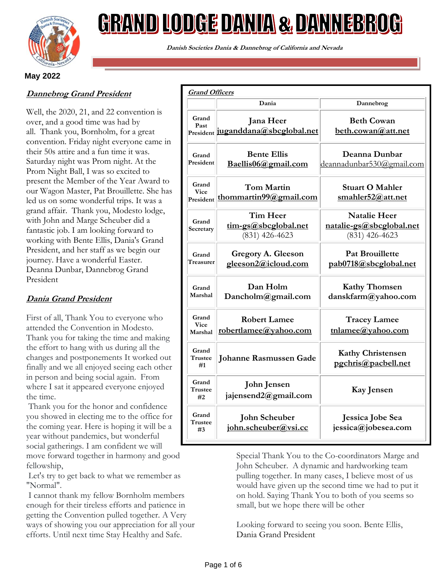

# <u>GRAND LODGE DANIA & DANNEBROG</u>

**Danish Societies Dania & Dannebrog of California and Nevada**

# **May 2022**

# **Dannebrog Grand President**

Well, the 2020, 21, and 22 convention is over, and a good time was had by all. Thank you, Bornholm, for a great convention. Friday night everyone came in their 50s attire and a fun time it was. Saturday night was Prom night. At the Prom Night Ball, I was so excited to present the Member of the Year Award to our Wagon Master, Pat Brouillette. She has led us on some wonderful trips. It was a grand affair. Thank you, Modesto lodge, with John and Marge Scheuber did a fantastic job. I am looking forward to working with Bente Ellis, Dania's Grand President, and her staff as we begin our journey. Have a wonderful Easter. Deanna Dunbar, Dannebrog Grand President

# **Dania Grand President**

First of all, Thank You to everyone who attended the Convention in Modesto. Thank you for taking the time and making the effort to hang with us during all the changes and postponements It worked out finally and we all enjoyed seeing each other in person and being social again. From where I sat it appeared everyone enjoyed the time.

Thank you for the honor and confidence you showed in electing me to the office for the coming year. Here is hoping it will be a year without pandemics, but wonderful social gatherings. I am confident we will move forward together in harmony and good fellowship,

Let's try to get back to what we remember as "Normal".

I cannot thank my fellow Bornholm members enough for their tireless efforts and patience in getting the Convention pulled together. A Very ways of showing you our appreciation for all your efforts. Until next time Stay Healthy and Safe.

| <b>Grand Officers</b>             |                                                             |                                                                     |
|-----------------------------------|-------------------------------------------------------------|---------------------------------------------------------------------|
|                                   | Dania                                                       | Dannebrog                                                           |
| Grand<br>Past                     | Jana Heer<br>President juganddana@sbcglobal.net             | <b>Beth Cowan</b><br>beth.cowan@att.net                             |
| Grand<br>President                | <b>Bente Ellis</b><br>Baellis06@gmail.com                   | Deanna Dunbar<br>deannadunbar530@gmail.com                          |
| Grand<br><b>Vice</b><br>President | <b>Tom Martin</b><br>thommartin99@gmail.com                 | <b>Stuart O Mahler</b><br>smahler52@att.net                         |
| Grand<br>Secretary                | <b>Tim Heer</b><br>tim-gs@sbcglobal.net<br>$(831)$ 426-4623 | <b>Natalie Heer</b><br>natalie-gs@sbcglobal.net<br>$(831)$ 426-4623 |
| Grand<br>Treasurer                | <b>Gregory A. Gleeson</b><br>gleeson2@icloud.com            | <b>Pat Brouillette</b><br>pab0718@sbcglobal.net                     |
| Grand<br>Marshal                  | Dan Holm<br>Dancholm@gmail.com                              | <b>Kathy Thomsen</b><br>danskfarm@yahoo.com                         |
| Grand<br><b>Vice</b><br>Marshal   | <b>Robert Lamee</b><br><u>robertlamee@yahoo.com</u>         | <b>Tracey Lamee</b><br>tnlamee@yahoo.com                            |
| Grand<br>Trustee<br>#1            | <b>Johanne Rasmussen Gade</b>                               | <b>Kathy Christensen</b><br>pgchris@pacbell.net                     |
| Grand<br>Trustee<br>#2            | <b>John Jensen</b><br>jajensend2@gmail.com                  | Kay Jensen                                                          |
| Grand<br>Trustee<br>#3            | <b>John Scheuber</b><br>john.scheuber@vsi.cc                | Jessica Jobe Sea<br>jessica@jobesea.com                             |

Special Thank You to the Co-coordinators Marge and John Scheuber. A dynamic and hardworking team pulling together. In many cases, I believe most of us would have given up the second time we had to put it on hold. Saying Thank You to both of you seems so small, but we hope there will be other

Looking forward to seeing you soon. Bente Ellis, Dania Grand President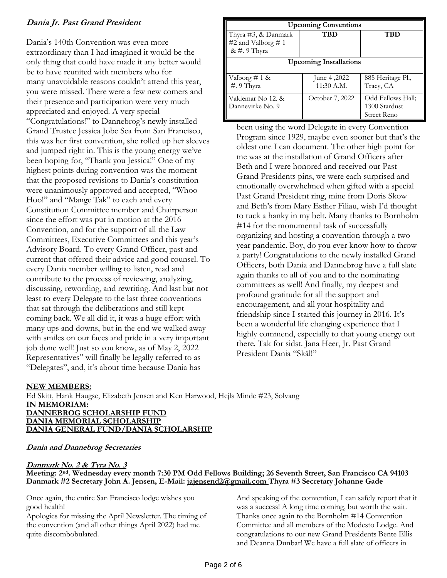# **Dania Jr. Past Grand President**

Dania's 140th Convention was even more extraordinary than I had imagined it would be the only thing that could have made it any better would be to have reunited with members who for many unavoidable reasons couldn't attend this year, you were missed. There were a few new comers and their presence and participation were very much appreciated and enjoyed. A very special "Congratulations!" to Dannebrog's newly installed Grand Trustee Jessica Jobe Sea from San Francisco, this was her first convention, she rolled up her sleeves and jumped right in. This is the young energy we've been hoping for, "Thank you Jessica!" One of my highest points during convention was the moment that the proposed revisions to Dania's constitution were unanimously approved and accepted, "Whoo Hoo!" and "Mange Tak" to each and every Constitution Committee member and Chairperson since the effort was put in motion at the 2016 Convention, and for the support of all the Law Committees, Executive Committees and this year's Advisory Board. To every Grand Officer, past and current that offered their advice and good counsel. To every Dania member willing to listen, read and contribute to the process of reviewing, analyzing, discussing, rewording, and rewriting. And last but not least to every Delegate to the last three conventions that sat through the deliberations and still kept coming back. We all did it, it was a huge effort with many ups and downs, but in the end we walked away with smiles on our faces and pride in a very important job done well! Just so you know, as of May 2, 2022 Representatives" will finally be legally referred to as "Delegates", and, it's about time because Dania has

| <b>Upcoming Conventions</b>                               |                           |                                                   |  |  |
|-----------------------------------------------------------|---------------------------|---------------------------------------------------|--|--|
| Thyra #3, & Danmark<br>#2 and Valborg # 1<br>& #. 9 Thyra | TBD                       | TBD                                               |  |  |
| <b>Upcoming Installations</b>                             |                           |                                                   |  |  |
| Valborg # 1 &<br>#. 9 Thyra                               | June 4,2022<br>11:30 A.M. | 885 Heritage Pl.,<br>Tracy, CA                    |  |  |
| Valdemar No 12. &<br>Dannevirke No. 9                     | October 7, 2022           | Odd Fellows Hall;<br>1300 Stardust<br>Street Reno |  |  |

been using the word Delegate in every Convention Program since 1929, maybe even sooner but that's the oldest one I can document. The other high point for me was at the installation of Grand Officers after Beth and I were honored and received our Past Grand Presidents pins, we were each surprised and emotionally overwhelmed when gifted with a special Past Grand President ring, mine from Doris Skow and Beth's from Mary Esther Filiau, wish I'd thought to tuck a hanky in my belt. Many thanks to Bornholm #14 for the monumental task of successfully organizing and hosting a convention through a two year pandemic. Boy, do you ever know how to throw a party! Congratulations to the newly installed Grand Officers, both Dania and Dannebrog have a full slate again thanks to all of you and to the nominating committees as well! And finally, my deepest and profound gratitude for all the support and encouragement, and all your hospitality and friendship since I started this journey in 2016. It's been a wonderful life changing experience that I highly commend, especially to that young energy out there. Tak for sidst. Jana Heer, Jr. Past Grand President Dania "Skål!"

## **NEW MEMBERS:**

Ed Skitt, Hank Haugse, Elizabeth Jensen and Ken Harwood, Hejls Minde #23, Solvang **IN MEMORIAM: DANNEBROG SCHOLARSHIP FUND DANIA MEMORIAL SCHOLARSHIP DANIA GENERAL FUND/DANIA SCHOLARSHIP**

## **Dania and Dannebrog Secretaries**

## **Danmark No. 2 & Tyra No. 3**

**Meeting: 2nd. Wednesday every month 7:30 PM Odd Fellows Building; 26 Seventh Street, San Francisco CA 94103 Danmark #2 Secretary John A. Jensen, E-Mail: [jajensend2@gmail.com](mailto:jajensend2@gmail.com) Thyra #3 Secretary Johanne Gade** 

Once again, the entire San Francisco lodge wishes you good health!

Apologies for missing the April Newsletter. The timing of the convention (and all other things April 2022) had me quite discombobulated.

And speaking of the convention, I can safely report that it was a success! A long time coming, but worth the wait. Thanks once again to the Bornholm #14 Convention Committee and all members of the Modesto Lodge. And congratulations to our new Grand Presidents Bente Ellis and Deanna Dunbar! We have a full slate of officers in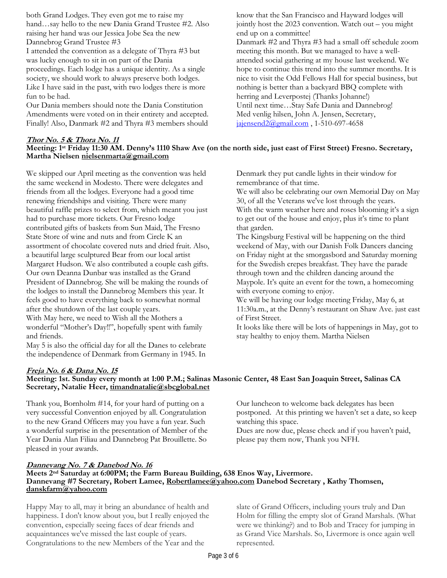both Grand Lodges. They even got me to raise my hand…say hello to the new Dania Grand Trustee #2. Also raising her hand was our Jessica Jobe Sea the new Dannebrog Grand Trustee #3

I attended the convention as a delegate of Thyra #3 but was lucky enough to sit in on part of the Dania proceedings. Each lodge has a unique identity. As a single society, we should work to always preserve both lodges. Like I have said in the past, with two lodges there is more fun to be had.

Our Dania members should note the Dania Constitution Amendments were voted on in their entirety and accepted. Finally! Also, Danmark #2 and Thyra #3 members should know that the San Francisco and Hayward lodges will jointly host the 2023 convention. Watch out – you might end up on a committee!

Danmark #2 and Thyra #3 had a small off schedule zoom meeting this month. But we managed to have a wellattended social gathering at my house last weekend. We hope to continue this trend into the summer months. It is nice to visit the Odd Fellows Hall for special business, but nothing is better than a backyard BBQ complete with herring and Leverpostej (Thanks Johanne!) Until next time…Stay Safe Dania and Dannebrog! Med venlig hilsen, John A. Jensen, Secretary, jajensend $2$ @gmail.com, 1-510-697-4658

#### **Thor No. 5 & Thora No. 11 Meeting: 1st Friday 11:30 AM. Denny's 1110 Shaw Ave (on the north side, just east of First Street) Fresno. Secretary, Martha Nielsen nielsenmarta@gmail.com**

We skipped our April meeting as the convention was held the same weekend in Modesto. There were delegates and friends from all the lodges. Everyone had a good time renewing friendships and visiting. There were many beautiful raffle prizes to select from, which meant you just had to purchase more tickets. Our Fresno lodge contributed gifts of baskets from Sun Maid, The Fresno State Store of wine and nuts and from Circle K an assortment of chocolate covered nuts and dried fruit. Also, a beautiful large sculptured Bear from our local artist Margaret Hudson. We also contributed a couple cash gifts. Our own Deanna Dunbar was installed as the Grand President of Dannebrog. She will be making the rounds of the lodges to install the Dannebrog Members this year. It feels good to have everything back to somewhat normal after the shutdown of the last couple years. With May here, we need to Wish all the Mothers a wonderful "Mother's Day!!", hopefully spent with family and friends.

May 5 is also the official day for all the Danes to celebrate the independence of Denmark from Germany in 1945. In Denmark they put candle lights in their window for remembrance of that time.

We will also be celebrating our own Memorial Day on May 30, of all the Veterans we've lost through the years. With the warm weather here and roses blooming it's a sign to get out of the house and enjoy, plus it's time to plant that garden.

The Kingsburg Festival will be happening on the third weekend of May, with our Danish Folk Dancers dancing on Friday night at the smorgasbord and Saturday morning for the Swedish crepes breakfast. They have the parade through town and the children dancing around the Maypole. It's quite an event for the town, a homecoming

with everyone coming to enjoy.

We will be having our lodge meeting Friday, May 6, at 11:30a.m., at the Denny's restaurant on Shaw Ave. just east of First Street.

It looks like there will be lots of happenings in May, got to stay healthy to enjoy them. Martha Nielsen

## **Freja No. 6 & Dana No. 15**

#### **Meeting: 1st. Sunday every month at 1:00 P.M.; Salinas Masonic Center, 48 East San Joaquin Street, Salinas CA Secretary, Natalie Heer, timandnatalie@sbcglobal.net**

Thank you, Bornholm #14, for your hard of putting on a very successful Convention enjoyed by all. Congratulation to the new Grand Officers may you have a fun year. Such a wonderful surprise in the presentation of Member of the Year Dania Alan Filiau and Dannebrog Pat Brouillette. So pleased in your awards.

Our luncheon to welcome back delegates has been postponed. At this printing we haven't set a date, so keep watching this space.

Dues are now due, please check and if you haven't paid, please pay them now, Thank you NFH.

## **Dannevang No. 7 & Danebod No. 16**

**Meets 2nd Saturday at 6:00PM; the Farm Bureau Building, 638 Enos Way, Livermore. Dannevang #7 Secretary, Robert Lamee[, Robertlamee@yahoo.com](mailto:Robertlamee@yahoo.com) Danebod Secretary , Kathy Thomsen, [danskfarm@yahoo.com](mailto:danskfarm@yahoo.com)**

Happy May to all, may it bring an abundance of health and happiness. I don't know about you, but I really enjoyed the convention, especially seeing faces of dear friends and acquaintances we've missed the last couple of years. Congratulations to the new Members of the Year and the

slate of Grand Officers, including yours truly and Dan Holm for filling the empty slot of Grand Marshals. (What were we thinking?) and to Bob and Tracey for jumping in as Grand Vice Marshals. So, Livermore is once again well represented.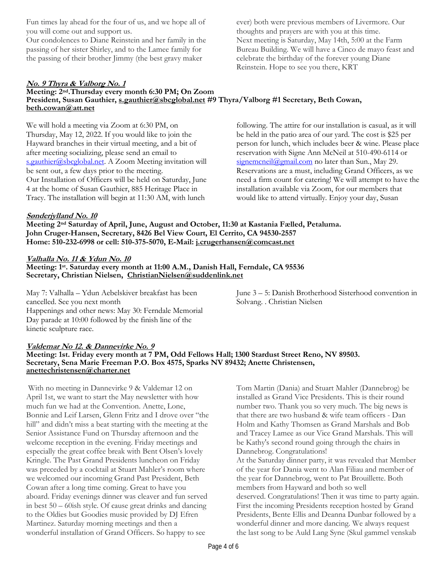Fun times lay ahead for the four of us, and we hope all of you will come out and support us.

Our condolences to Diane Reinstein and her family in the passing of her sister Shirley, and to the Lamee family for the passing of their brother Jimmy (the best gravy maker

ever) both were previous members of Livermore. Our thoughts and prayers are with you at this time. Next meeting is Saturday, May 14th, 5:00 at the Farm Bureau Building. We will have a Cinco de mayo feast and celebrate the birthday of the forever young Diane Reinstein. Hope to see you there, KRT

#### **No. 9 Thyra & Valborg No. 1 Meeting: 2nd.Thursday every month 6:30 PM; On Zoom President, Susan Gauthier, [s.gauthier@sbcglobal.net](mailto:s.gauthier@sbcglobal.net) #9 Thyra/Valborg #1 Secretary, Beth Cowan, [beth.cowan@att.net](mailto:beth.cowan@att.net)**

We will hold a meeting via Zoom at 6:30 PM, on Thursday, May 12, 2022. If you would like to join the Hayward branches in their virtual meeting, and a bit of after meeting socializing, please send an email to [s.gauthier@sbcglobal.net.](mailto:s.gauthier@sbcglobal.net) A Zoom Meeting invitation will be sent out, a few days prior to the meeting. Our Installation of Officers will be held on Saturday, June 4 at the home of Susan Gauthier, 885 Heritage Place in Tracy. The installation will begin at 11:30 AM, with lunch

following. The attire for our installation is casual, as it will be held in the patio area of our yard. The cost is \$25 per person for lunch, which includes beer & wine. Please place reservation with Signe Ann McNeil at 510-490-6114 or  $signemcneil@gmail.com$  no later than Sun., May 29. Reservations are a must, including Grand Officers, as we need a firm count for catering! We will attempt to have the installation available via Zoom, for our members that would like to attend virtually. Enjoy your day, Susan

## **Sønderjylland No. 10**

**Meeting 2nd Saturday of April, June, August and October, 11:30 at Kastania Fælled, Petaluma. John Cruger-Hansen, Secretary, 8426 Bel View Court, El Cerrito, CA 94530-2557 Home: 510-232-6998 or cell: 510-375-5070, E-Mail: [j.crugerhansen@comcast.net](mailto:j.crugerhansen@comcast.net)**

# **Valhalla No. 11 & Ydun No. 10**

**Meeting: 1st. Saturday every month at 11:00 A.M., Danish Hall, Ferndale, CA 95536 Secretary, Christian Nielsen, [ChristianNielsen@suddenlink.net](mailto:ChristianNielsen@suddenlink.net)**

May 7: Valhalla – Ydun Aebelskiver breakfast has been cancelled. See you next month Happenings and other news: May 30: Ferndale Memorial Day parade at 10:00 followed by the finish line of the kinetic sculpture race.

June 3 – 5: Danish Brotherhood Sisterhood convention in Solvang. . Christian Nielsen

## **Valdemar No 12. & Dannevirke No. 9**

**Meeting: 1st. Friday every month at 7 PM, Odd Fellows Hall; 1300 Stardust Street Reno, NV 89503. Secretary, Sena Marie Freeman P.O. Box 4575, Sparks NV 89432; Anette Christensen, anettechristensen@charter.net**

With no meeting in Dannevirke 9 & Valdemar 12 on April 1st, we want to start the May newsletter with how much fun we had at the Convention. Anette, Lone, Bonnie and Leif Larsen, Glenn Fritz and I drove over "the hill" and didn't miss a beat starting with the meeting at the Senior Assistance Fund on Thursday afternoon and the welcome reception in the evening. Friday meetings and especially the great coffee break with Bent Olsen's lovely Kringle. The Past Grand Presidents luncheon on Friday was preceded by a cocktail at Stuart Mahler's room where we welcomed our incoming Grand Past President, Beth Cowan after a long time coming. Great to have you aboard. Friday evenings dinner was cleaver and fun served in best 50 – 60ish style. Of cause great drinks and dancing to the Oldies but Goodies music provided by DJ Efren Martinez. Saturday morning meetings and then a wonderful installation of Grand Officers. So happy to see

Tom Martin (Dania) and Stuart Mahler (Dannebrog) be installed as Grand Vice Presidents. This is their round number two. Thank you so very much. The big news is that there are two husband & wife team officers - Dan Holm and Kathy Thomsen as Grand Marshals and Bob and Tracey Lamee as our Vice Grand Marshals. This will be Kathy's second round going through the chairs in Dannebrog. Congratulations! At the Saturday dinner party, it was revealed that Member of the year for Dania went to Alan Filiau and member of the year for Dannebrog, went to Pat Brouillette. Both members from Hayward and both so well deserved. Congratulations! Then it was time to party again. First the incoming Presidents reception hosted by Grand Presidents, Bente Ellis and Deanna Dunbar followed by a wonderful dinner and more dancing. We always request the last song to be Auld Lang Syne (Skul gammel venskab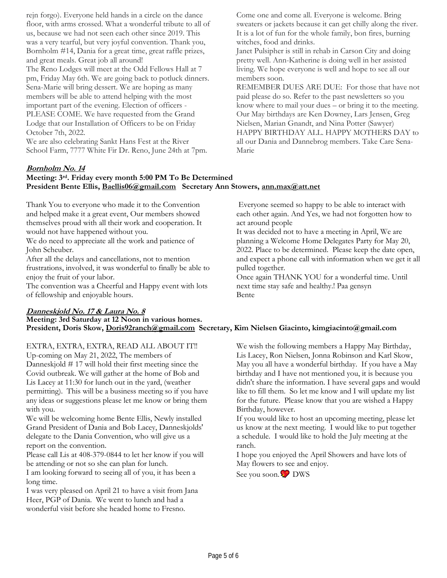rejn forgo). Everyone held hands in a circle on the dance floor, with arms crossed. What a wonderful tribute to all of us, because we had not seen each other since 2019. This was a very tearful, but very joyful convention. Thank you, Bornholm #14, Dania for a great time, great raffle prizes, and great meals. Great job all around!

The Reno Lodges will meet at the Odd Fellows Hall at 7 pm, Friday May 6th. We are going back to potluck dinners. Sena-Marie will bring dessert. We are hoping as many members will be able to attend helping with the most important part of the evening. Election of officers - PLEASE COME. We have requested from the Grand Lodge that our Installation of Officers to be on Friday October 7th, 2022.

We are also celebrating Sankt Hans Fest at the River School Farm, 7777 White Fir Dr. Reno, June 24th at 7pm. Come one and come all. Everyone is welcome. Bring sweaters or jackets because it can get chilly along the river. It is a lot of fun for the whole family, bon fires, burning witches, food and drinks.

Janet Pulsipher is still in rehab in Carson City and doing pretty well. Ann-Katherine is doing well in her assisted living. We hope everyone is well and hope to see all our members soon.

REMEMBER DUES ARE DUE: For those that have not paid please do so. Refer to the past newsletters so you know where to mail your dues – or bring it to the meeting. Our May birthdays are Ken Downey, Lars Jensen, Greg Nielsen, Marian Gnandt, and Nina Potter (Sawyer) HAPPY BIRTHDAY ALL. HAPPY MOTHERS DAY to all our Dania and Dannebrog members. Take Care Sena-Marie

Everyone seemed so happy to be able to interact with each other again. And Yes, we had not forgotten how to

It was decided not to have a meeting in April, We are planning a Welcome Home Delegates Party for May 20, 2022. Place to be determined. Please keep the date open, and expect a phone call with information when we get it all

Once again THANK YOU for a wonderful time. Until

next time stay safe and healthy.! Paa gensyn

## **Bornholm No. 14**

#### **Meeting: 3rd. Friday every month 5:00 PM To Be Determined President Bente Ellis, Baellis06@gmail.com Secretary Ann Stowers, [ann.max@att.net](mailto:ann.max@att.net)**

Thank You to everyone who made it to the Convention and helped make it a great event, Our members showed themselves proud with all their work and cooperation. It would not have happened without you.

We do need to appreciate all the work and patience of John Scheuber.

After all the delays and cancellations, not to mention frustrations, involved, it was wonderful to finally be able to enjoy the fruit of your labor.

The convention was a Cheerful and Happy event with lots of fellowship and enjoyable hours.

## **Danneskjold No. 17 & Laura No. 8**

**Meeting: 3rd Saturday at 12 Noon in various homes. President, Doris Skow, [Doris92ranch@gmail.com](mailto:Doris92ranch@gmail.com) Secretary, Kim Nielsen Giacinto, kimgiacinto@gmail.com**

EXTRA, EXTRA, EXTRA, READ ALL ABOUT IT!! Up-coming on May 21, 2022, The members of Danneskjold # 17 will hold their first meeting since the Covid outbreak. We will gather at the home of Bob and Lis Lacey at 11:30 for lunch out in the yard, (weather permitting). This will be a business meeting so if you have any ideas or suggestions please let me know or bring them with you.

We will be welcoming home Bente Ellis, Newly installed Grand President of Dania and Bob Lacey, Danneskjolds' delegate to the Dania Convention, who will give us a report on the convention.

Please call Lis at 408-379-0844 to let her know if you will be attending or not so she can plan for lunch.

I am looking forward to seeing all of you, it has been a long time.

I was very pleased on April 21 to have a visit from Jana Heer, PGP of Dania. We went to lunch and had a wonderful visit before she headed home to Fresno.

We wish the following members a Happy May Birthday, Lis Lacey, Ron Nielsen, Jonna Robinson and Karl Skow, May you all have a wonderful birthday. If you have a May birthday and I have not mentioned you, it is because you didn't share the information. I have several gaps and would like to fill them. So let me know and I will update my list for the future. Please know that you are wished a Happy Birthday, however.

If you would like to host an upcoming meeting, please let us know at the next meeting. I would like to put together a schedule. I would like to hold the July meeting at the ranch.

I hope you enjoyed the April Showers and have lots of May flowers to see and enjoy.

See you soon. DWS

act around people

pulled together.

Bente